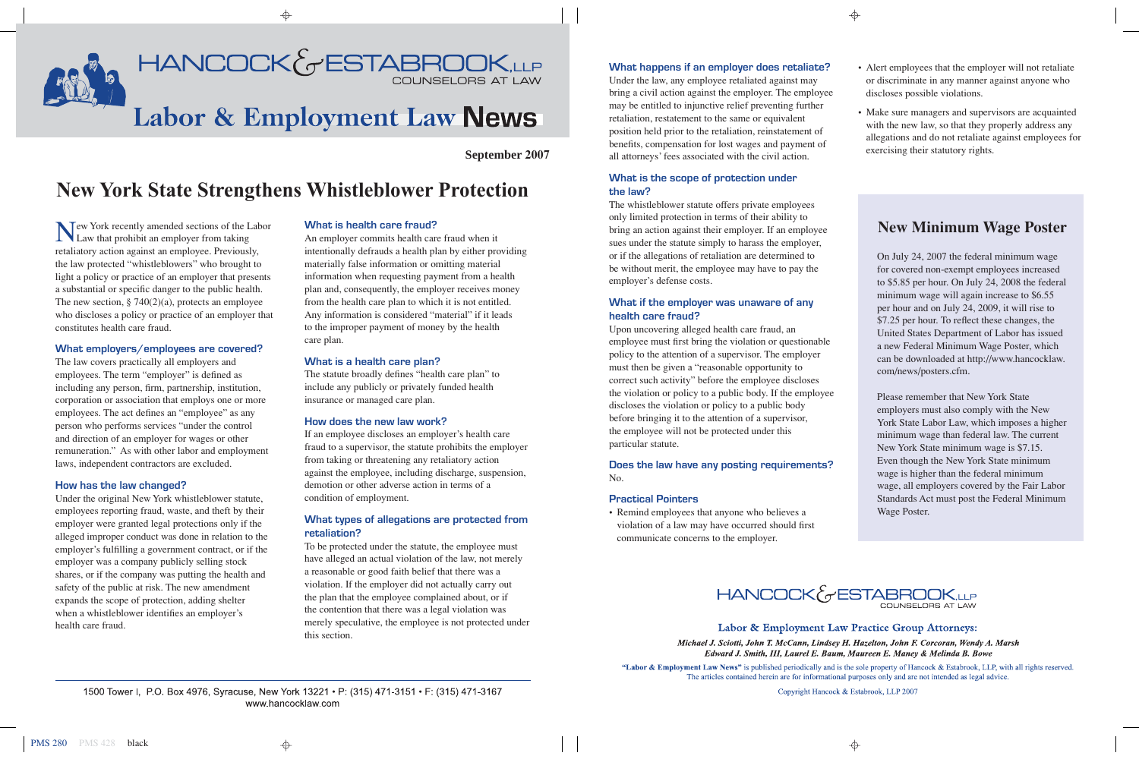

⊕

# **September 2007**

# **New York State Strengthens Whistleblower Protection**

Tew York recently amended sections of the Labor Law that prohibit an employer from taking retaliatory action against an employee. Previously, the law protected "whistleblowers" who brought to light a policy or practice of an employer that presents a substantial or specific danger to the public health. The new section,  $\S 740(2)(a)$ , protects an employee who discloses a policy or practice of an employer that constitutes health care fraud.

#### **What employers/employees are covered?**

The law covers practically all employers and employees. The term "employer" is defined as including any person, firm, partnership, institution, corporation or association that employs one or more employees. The act defines an "employee" as any person who performs services "under the control and direction of an employer for wages or other remuneration." As with other labor and employment laws, independent contractors are excluded.

#### **How has the law changed?**

Under the original New York whistleblower statute, employees reporting fraud, waste, and theft by their employer were granted legal protections only if the alleged improper conduct was done in relation to the employer's fulfilling a government contract, or if the employer was a company publicly selling stock shares, or if the company was putting the health and safety of the public at risk. The new amendment expands the scope of protection, adding shelter when a whistleblower identifies an employer's health care fraud.

#### **What is health care fraud?**

An employer commits health care fraud when it intentionally defrauds a health plan by either providing materially false information or omitting material information when requesting payment from a health plan and, consequently, the employer receives money from the health care plan to which it is not entitled. Any information is considered "material" if it leads to the improper payment of money by the health care plan.

#### **What is a health care plan?**

The statute broadly defines "health care plan" to include any publicly or privately funded health insurance or managed care plan.

#### **How does the new law work?**

If an employee discloses an employer's health care fraud to a supervisor, the statute prohibits the employer from taking or threatening any retaliatory action against the employee, including discharge, suspension, demotion or other adverse action in terms of a condition of employment.

# **What types of allegations are protected from retaliation?**

To be protected under the statute, the employee must have alleged an actual violation of the law, not merely a reasonable or good faith belief that there was a violation. If the employer did not actually carry out the plan that the employee complained about, or if the contention that there was a legal violation was merely speculative, the employee is not protected under this section.

1500 Tower I, P.O. Box 4976, Syracuse, New York 13221 • P: (315) 471-3151 • F: (315) 471-3167 www.hancocklaw.com